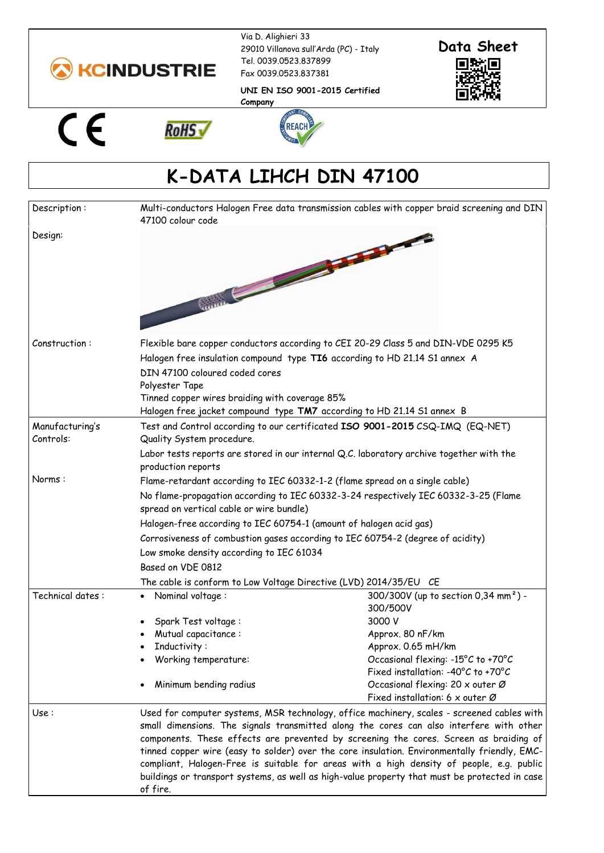

**RoHS√** 

Via D. Alighieri 33 29010 Villanova sull'Arda (PC) - Italy Tel. 0039.0523.837899 Fax 0039.0523.837381



**UNI EN ISO 9001-2015 Certified Company**





## **K-DATA LIHCH DIN 47100**

| Description:                 | Multi-conductors Halogen Free data transmission cables with copper braid screening and DIN<br>47100 colour code                                                                                                                                                                                                                                                                                                                                                                                                                                                                         |                                                                                                                                                                                                                                                                     |
|------------------------------|-----------------------------------------------------------------------------------------------------------------------------------------------------------------------------------------------------------------------------------------------------------------------------------------------------------------------------------------------------------------------------------------------------------------------------------------------------------------------------------------------------------------------------------------------------------------------------------------|---------------------------------------------------------------------------------------------------------------------------------------------------------------------------------------------------------------------------------------------------------------------|
| Design:                      |                                                                                                                                                                                                                                                                                                                                                                                                                                                                                                                                                                                         |                                                                                                                                                                                                                                                                     |
| Construction:                | Flexible bare copper conductors according to CEI 20-29 Class 5 and DIN-VDE 0295 K5<br>Halogen free insulation compound type TI6 according to HD 21.14 S1 annex A<br>DIN 47100 coloured coded cores<br>Polyester Tape<br>Tinned copper wires braiding with coverage 85%<br>Halogen free jacket compound type TM7 according to HD 21.14 S1 annex B                                                                                                                                                                                                                                        |                                                                                                                                                                                                                                                                     |
| Manufacturing's<br>Controls: | Test and Control according to our certificated ISO 9001-2015 CSQ-IMQ (EQ-NET)<br>Quality System procedure.<br>Labor tests reports are stored in our internal Q.C. laboratory archive together with the<br>production reports                                                                                                                                                                                                                                                                                                                                                            |                                                                                                                                                                                                                                                                     |
| Norms:                       | Flame-retardant according to IEC 60332-1-2 (flame spread on a single cable)<br>No flame-propagation according to IEC 60332-3-24 respectively IEC 60332-3-25 (Flame<br>spread on vertical cable or wire bundle)<br>Halogen-free according to IEC 60754-1 (amount of halogen acid gas)<br>Corrosiveness of combustion gases according to IEC 60754-2 (degree of acidity)<br>Low smoke density according to IEC 61034<br>Based on VDE 0812<br>The cable is conform to Low Voltage Directive (LVD) 2014/35/EU CE                                                                            |                                                                                                                                                                                                                                                                     |
| Technical dates:             | Nominal voltage:<br>Spark Test voltage:<br>Mutual capacitance:<br>Inductivity:<br>Working temperature:<br>Minimum bending radius                                                                                                                                                                                                                                                                                                                                                                                                                                                        | 300/300V (up to section 0,34 mm <sup>2</sup> ) -<br>300/500V<br>3000 V<br>Approx. 80 nF/km<br>Approx. 0.65 mH/km<br>Occasional flexing: -15°C to +70°C<br>Fixed installation: -40°C to +70°C<br>Occasional flexing: 20 x outer Ø<br>Fixed installation: 6 x outer Ø |
| Use :                        | Used for computer systems, MSR technology, office machinery, scales - screened cables with<br>small dimensions. The signals transmitted along the cores can also interfere with other<br>components. These effects are prevented by screening the cores. Screen as braiding of<br>tinned copper wire (easy to solder) over the core insulation. Environmentally friendly, EMC-<br>compliant, Halogen-Free is suitable for areas with a high density of people, e.g. public<br>buildings or transport systems, as well as high-value property that must be protected in case<br>of fire. |                                                                                                                                                                                                                                                                     |